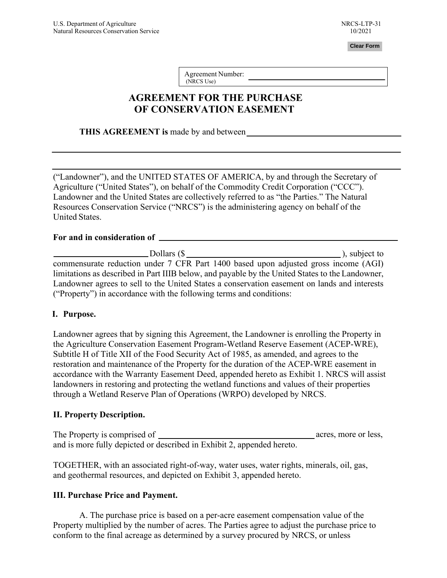**Clear Form**

Agreement Number: (NRCS Use)

# **AGREEMENT FOR THE PURCHASE OF CONSERVATION EASEMENT**

**THIS AGREEMENT is** made by and between

("Landowner"), and the UNITED STATES OF AMERICA, by and through the Secretary of Agriculture ("United States"), on behalf of the Commodity Credit Corporation ("CCC"). Landowner and the United States are collectively referred to as "the Parties." The Natural Resources Conservation Service ("NRCS") is the administering agency on behalf of the United States.

#### **For and in consideration of**

| Dollars (\$                                                                                     | ), subject to |
|-------------------------------------------------------------------------------------------------|---------------|
| commensurate reduction under 7 CFR Part 1400 based upon adjusted gross income (AGI)             |               |
| limitations as described in Part IIIB below, and payable by the United States to the Landowner, |               |
| Landowner agrees to sell to the United States a conservation easement on lands and interests    |               |
| ("Property") in accordance with the following terms and conditions:                             |               |

#### **I. Purpose.**

Landowner agrees that by signing this Agreement, the Landowner is enrolling the Property in the Agriculture Conservation Easement Program-Wetland Reserve Easement (ACEP-WRE), Subtitle H of Title XII of the Food Security Act of 1985, as amended, and agrees to the restoration and maintenance of the Property for the duration of the ACEP-WRE easement in accordance with the Warranty Easement Deed, appended hereto as Exhibit 1. NRCS will assist landowners in restoring and protecting the wetland functions and values of their properties through a Wetland Reserve Plan of Operations (WRPO) developed by NRCS.

#### **II. Property Description.**

 acres, more or less, The Property is comprised of and is more fully depicted or described in Exhibit 2, appended hereto.

TOGETHER, with an associated right-of-way, water uses, water rights, minerals, oil, gas, and geothermal resources, and depicted on Exhibit 3, appended hereto.

#### **III. Purchase Price and Payment.**

A. The purchase price is based on a per-acre easement compensation value of the Property multiplied by the number of acres. The Parties agree to adjust the purchase price to conform to the final acreage as determined by a survey procured by NRCS, or unless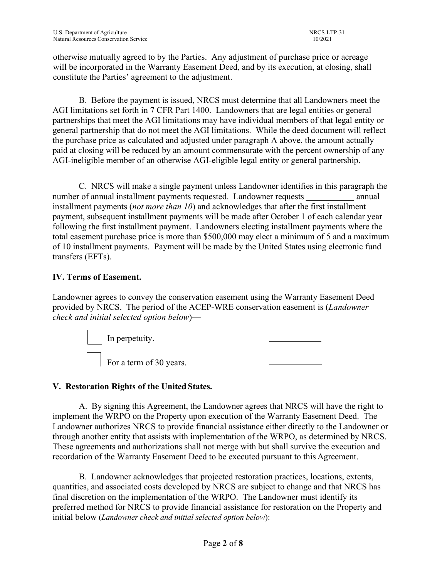otherwise mutually agreed to by the Parties. Any adjustment of purchase price or acreage will be incorporated in the Warranty Easement Deed, and by its execution, at closing, shall constitute the Parties' agreement to the adjustment.

B. Before the payment is issued, NRCS must determine that all Landowners meet the AGI limitations set forth in 7 CFR Part 1400. Landowners that are legal entities or general partnerships that meet the AGI limitations may have individual members of that legal entity or general partnership that do not meet the AGI limitations. While the deed document will reflect the purchase price as calculated and adjusted under paragraph A above, the amount actually paid at closing will be reduced by an amount commensurate with the percent ownership of any AGI-ineligible member of an otherwise AGI-eligible legal entity or general partnership.

C. NRCS will make a single payment unless Landowner identifies in this paragraph the number of annual installment payments requested. Landowner requests annual installment payments (*not more than 10*) and acknowledges that after the first installment payment, subsequent installment payments will be made after October 1 of each calendar year following the first installment payment. Landowners electing installment payments where the total easement purchase price is more than \$500,000 may elect a minimum of 5 and a maximum of 10 installment payments. Payment will be made by the United States using electronic fund transfers (EFTs).

# **IV. Terms of Easement.**

Landowner agrees to convey the conservation easement using the Warranty Easement Deed provided by NRCS. The period of the ACEP-WRE conservation easement is (*Landowner check and initial selected option below*)—



# **V. Restoration Rights of the United States.**

A. By signing this Agreement, the Landowner agrees that NRCS will have the right to implement the WRPO on the Property upon execution of the Warranty Easement Deed. The Landowner authorizes NRCS to provide financial assistance either directly to the Landowner or through another entity that assists with implementation of the WRPO, as determined by NRCS. These agreements and authorizations shall not merge with but shall survive the execution and recordation of the Warranty Easement Deed to be executed pursuant to this Agreement.

B. Landowner acknowledges that projected restoration practices, locations, extents, quantities, and associated costs developed by NRCS are subject to change and that NRCS has final discretion on the implementation of the WRPO. The Landowner must identify its preferred method for NRCS to provide financial assistance for restoration on the Property and initial below (*Landowner check and initial selected option below*):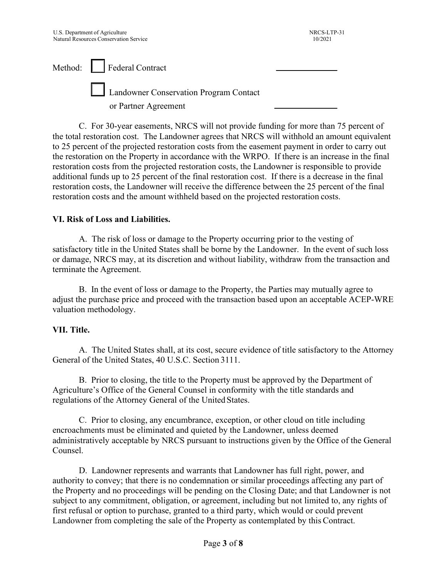Method: Federal Contract Landowner Conservation Program Contact or Partner Agreement

C. For 30-year easements, NRCS will not provide funding for more than 75 percent of the total restoration cost. The Landowner agrees that NRCS will withhold an amount equivalent to 25 percent of the projected restoration costs from the easement payment in order to carry out the restoration on the Property in accordance with the WRPO. If there is an increase in the final restoration costs from the projected restoration costs, the Landowner is responsible to provide additional funds up to 25 percent of the final restoration cost. If there is a decrease in the final restoration costs, the Landowner will receive the difference between the 25 percent of the final restoration costs and the amount withheld based on the projected restoration costs.

#### **VI. Risk of Loss and Liabilities.**

A. The risk of loss or damage to the Property occurring prior to the vesting of satisfactory title in the United States shall be borne by the Landowner. In the event of such loss or damage, NRCS may, at its discretion and without liability, withdraw from the transaction and terminate the Agreement.

B. In the event of loss or damage to the Property, the Parties may mutually agree to adjust the purchase price and proceed with the transaction based upon an acceptable ACEP-WRE valuation methodology.

#### **VII. Title.**

A. The United States shall, at its cost, secure evidence of title satisfactory to the Attorney General of the United States, 40 U.S.C. Section 3111.

B. Prior to closing, the title to the Property must be approved by the Department of Agriculture's Office of the General Counsel in conformity with the title standards and regulations of the Attorney General of the United States.

C. Prior to closing, any encumbrance, exception, or other cloud on title including encroachments must be eliminated and quieted by the Landowner, unless deemed administratively acceptable by NRCS pursuant to instructions given by the Office of the General Counsel.

D. Landowner represents and warrants that Landowner has full right, power, and authority to convey; that there is no condemnation or similar proceedings affecting any part of the Property and no proceedings will be pending on the Closing Date; and that Landowner is not subject to any commitment, obligation, or agreement, including but not limited to, any rights of first refusal or option to purchase, granted to a third party, which would or could prevent Landowner from completing the sale of the Property as contemplated by this Contract.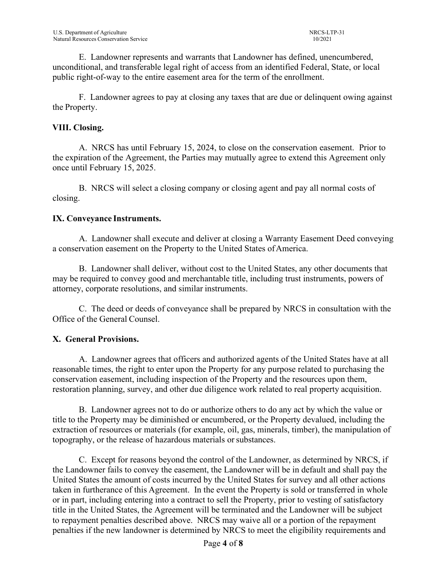E. Landowner represents and warrants that Landowner has defined, unencumbered, unconditional, and transferable legal right of access from an identified Federal, State, or local public right-of-way to the entire easement area for the term of the enrollment.

F. Landowner agrees to pay at closing any taxes that are due or delinquent owing against the Property.

### **VIII. Closing.**

A. NRCS has until February 15, 2024, to close on the conservation easement. Prior to the expiration of the Agreement, the Parties may mutually agree to extend this Agreement only once until February 15, 2025.

B. NRCS will select a closing company or closing agent and pay all normal costs of closing.

#### **IX. Conveyance Instruments.**

A. Landowner shall execute and deliver at closing a Warranty Easement Deed conveying a conservation easement on the Property to the United States of America.

B. Landowner shall deliver, without cost to the United States, any other documents that may be required to convey good and merchantable title, including trust instruments, powers of attorney, corporate resolutions, and similar instruments.

C. The deed or deeds of conveyance shall be prepared by NRCS in consultation with the Office of the General Counsel.

# **X. General Provisions.**

A. Landowner agrees that officers and authorized agents of the United States have at all reasonable times, the right to enter upon the Property for any purpose related to purchasing the conservation easement, including inspection of the Property and the resources upon them, restoration planning, survey, and other due diligence work related to real property acquisition.

B. Landowner agrees not to do or authorize others to do any act by which the value or title to the Property may be diminished or encumbered, or the Property devalued, including the extraction of resources or materials (for example, oil, gas, minerals, timber), the manipulation of topography, or the release of hazardous materials or substances.

C. Except for reasons beyond the control of the Landowner, as determined by NRCS, if the Landowner fails to convey the easement, the Landowner will be in default and shall pay the United States the amount of costs incurred by the United States for survey and all other actions taken in furtherance of this Agreement. In the event the Property is sold or transferred in whole or in part, including entering into a contract to sell the Property, prior to vesting of satisfactory title in the United States, the Agreement will be terminated and the Landowner will be subject to repayment penalties described above. NRCS may waive all or a portion of the repayment penalties if the new landowner is determined by NRCS to meet the eligibility requirements and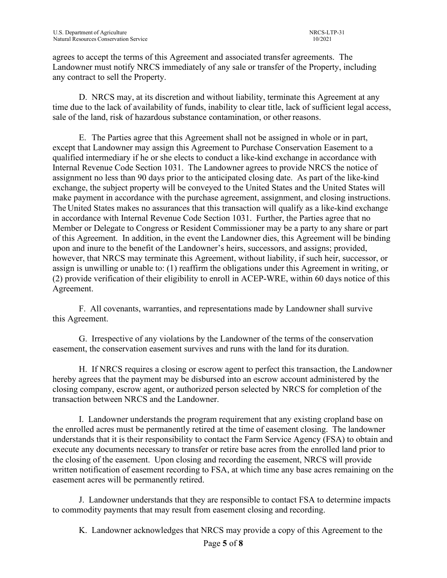agrees to accept the terms of this Agreement and associated transfer agreements. The Landowner must notify NRCS immediately of any sale or transfer of the Property, including any contract to sell the Property.

D. NRCS may, at its discretion and without liability, terminate this Agreement at any time due to the lack of availability of funds, inability to clear title, lack of sufficient legal access, sale of the land, risk of hazardous substance contamination, or other reasons.

E. The Parties agree that this Agreement shall not be assigned in whole or in part, except that Landowner may assign this Agreement to Purchase Conservation Easement to a qualified intermediary if he or she elects to conduct a like-kind exchange in accordance with Internal Revenue Code Section 1031. The Landowner agrees to provide NRCS the notice of assignment no less than 90 days prior to the anticipated closing date. As part of the like-kind exchange, the subject property will be conveyed to the United States and the United States will make payment in accordance with the purchase agreement, assignment, and closing instructions. The United States makes no assurances that this transaction will qualify as a like-kind exchange in accordance with Internal Revenue Code Section 1031. Further, the Parties agree that no Member or Delegate to Congress or Resident Commissioner may be a party to any share or part of this Agreement. In addition, in the event the Landowner dies, this Agreement will be binding upon and inure to the benefit of the Landowner's heirs, successors, and assigns; provided, however, that NRCS may terminate this Agreement, without liability, if such heir, successor, or assign is unwilling or unable to: (1) reaffirm the obligations under this Agreement in writing, or (2) provide verification of their eligibility to enroll in ACEP-WRE, within 60 days notice of this Agreement.

F. All covenants, warranties, and representations made by Landowner shall survive this Agreement.

G. Irrespective of any violations by the Landowner of the terms of the conservation easement, the conservation easement survives and runs with the land for its duration.

H. If NRCS requires a closing or escrow agent to perfect this transaction, the Landowner hereby agrees that the payment may be disbursed into an escrow account administered by the closing company, escrow agent, or authorized person selected by NRCS for completion of the transaction between NRCS and the Landowner.

I. Landowner understands the program requirement that any existing cropland base on the enrolled acres must be permanently retired at the time of easement closing. The landowner understands that it is their responsibility to contact the Farm Service Agency (FSA) to obtain and execute any documents necessary to transfer or retire base acres from the enrolled land prior to the closing of the easement. Upon closing and recording the easement, NRCS will provide written notification of easement recording to FSA, at which time any base acres remaining on the easement acres will be permanently retired.

J. Landowner understands that they are responsible to contact FSA to determine impacts to commodity payments that may result from easement closing and recording.

K. Landowner acknowledges that NRCS may provide a copy of this Agreement to the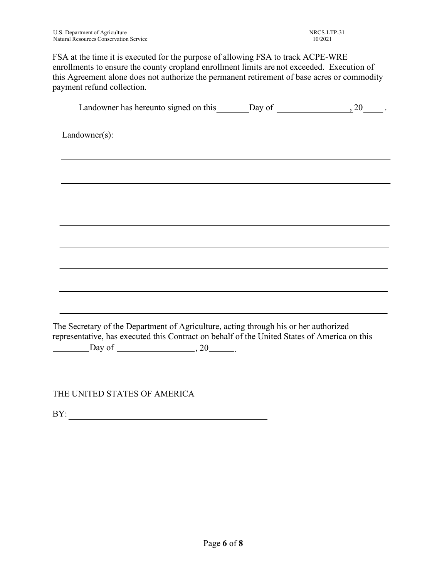FSA at the time it is executed for the purpose of allowing FSA to track ACPE-WRE enrollments to ensure the county cropland enrollment limits are not exceeded. Execution of this Agreement alone does not authorize the permanent retirement of base acres or commodity payment refund collection.

| Landowner has hereunto signed on this $\qquad \qquad$ Day of $\qquad \qquad$ .                                                                                                       |  |
|--------------------------------------------------------------------------------------------------------------------------------------------------------------------------------------|--|
| Landowner(s):                                                                                                                                                                        |  |
|                                                                                                                                                                                      |  |
|                                                                                                                                                                                      |  |
|                                                                                                                                                                                      |  |
|                                                                                                                                                                                      |  |
|                                                                                                                                                                                      |  |
|                                                                                                                                                                                      |  |
|                                                                                                                                                                                      |  |
|                                                                                                                                                                                      |  |
|                                                                                                                                                                                      |  |
|                                                                                                                                                                                      |  |
|                                                                                                                                                                                      |  |
| The Secretary of the Department of Agriculture, acting through his or her authorized<br>representative, has executed this Contract on behalf of the United States of America on this |  |
| $\frac{\text{Day of}}{\text{Day of}}$ , 20                                                                                                                                           |  |
|                                                                                                                                                                                      |  |

THE UNITED STATES OF AMERICA

BY: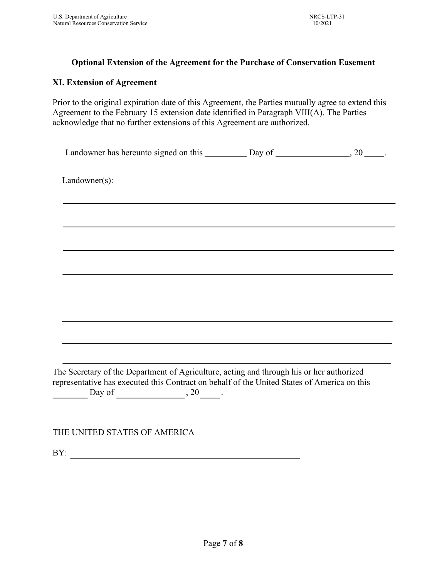# **Optional Extension of the Agreement for the Purchase of Conservation Easement**

# **XI. Extension of Agreement**

Prior to the original expiration date of this Agreement, the Parties mutually agree to extend this Agreement to the February 15 extension date identified in Paragraph VIII(A). The Parties acknowledge that no further extensions of this Agreement are authorized.

| $Landowner(s)$ :                                                                            |  |
|---------------------------------------------------------------------------------------------|--|
|                                                                                             |  |
|                                                                                             |  |
|                                                                                             |  |
|                                                                                             |  |
|                                                                                             |  |
|                                                                                             |  |
|                                                                                             |  |
| The Secretary of the Department of Agriculture, acting and through his or her authorized    |  |
| representative has executed this Contract on behalf of the United States of America on this |  |

THE UNITED STATES OF AMERICA

BY: